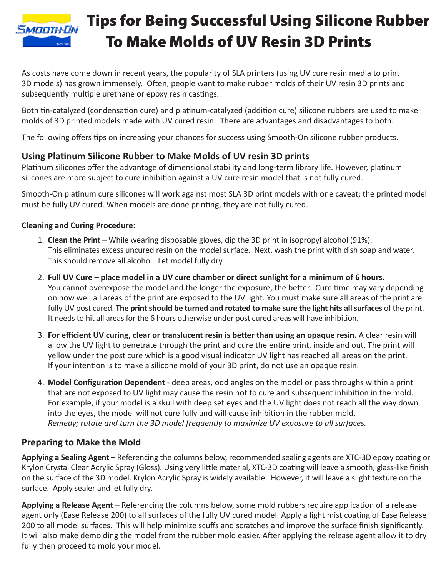

# Tips for Being Successful Using Silicone Rubber To Make Molds of UV Resin 3D Prints

As costs have come down in recent years, the popularity of SLA printers (using UV cure resin media to print 3D models) has grown immensely. Often, people want to make rubber molds of their UV resin 3D prints and subsequently multiple urethane or epoxy resin castings.

Both tin-catalyzed (condensation cure) and platinum-catalyzed (addition cure) silicone rubbers are used to make molds of 3D printed models made with UV cured resin. There are advantages and disadvantages to both.

The following offers tips on increasing your chances for success using Smooth-On silicone rubber products.

### **Using Platinum Silicone Rubber to Make Molds of UV resin 3D prints**

Platinum silicones offer the advantage of dimensional stability and long-term library life. However, platinum silicones are more subject to cure inhibition against a UV cure resin model that is not fully cured.

Smooth-On platinum cure silicones will work against most SLA 3D print models with one caveat; the printed model must be fully UV cured. When models are done printing, they are not fully cured.

#### **Cleaning and Curing Procedure:**

- 1. **Clean the Print**  While wearing disposable gloves, dip the 3D print in isopropyl alcohol (91%). This eliminates excess uncured resin on the model surface. Next, wash the print with dish soap and water. This should remove all alcohol. Let model fully dry.
- 2. **Full UV Cure place model in a UV cure chamber or direct sunlight for a minimum of 6 hours.**  You cannot overexpose the model and the longer the exposure, the better. Cure time may vary depending on how well all areas of the print are exposed to the UV light. You must make sure all areas of the print are fully UV post cured. **The print should be turned and rotated to make sure the light hits all surfaces** of the print. It needs to hit all areas for the 6 hours otherwise under post cured areas will have inhibition.
- 3. **For efficient UV curing, clear or translucent resin is better than using an opaque resin.** A clear resin will allow the UV light to penetrate through the print and cure the entire print, inside and out. The print will yellow under the post cure which is a good visual indicator UV light has reached all areas on the print. If your intention is to make a silicone mold of your 3D print, do not use an opaque resin.
- 4. **Model Configuration Dependent** deep areas, odd angles on the model or pass throughs within a print that are not exposed to UV light may cause the resin not to cure and subsequent inhibition in the mold. For example, if your model is a skull with deep set eyes and the UV light does not reach all the way down into the eyes, the model will not cure fully and will cause inhibition in the rubber mold. *Remedy; rotate and turn the 3D model frequently to maximize UV exposure to all surfaces.*

## **Preparing to Make the Mold**

**Applying a Sealing Agent** – Referencing the columns below, recommended sealing agents are XTC-3D epoxy coating or Krylon Crystal Clear Acrylic Spray (Gloss). Using very little material, XTC-3D coating will leave a smooth, glass-like finish on the surface of the 3D model. Krylon Acrylic Spray is widely available. However, it will leave a slight texture on the surface. Apply sealer and let fully dry.

**Applying a Release Agent** – Referencing the columns below, some mold rubbers require application of a release agent only (Ease Release 200) to all surfaces of the fully UV cured model. Apply a light mist coating of Ease Release 200 to all model surfaces. This will help minimize scuffs and scratches and improve the surface finish significantly. It will also make demolding the model from the rubber mold easier. After applying the release agent allow it to dry fully then proceed to mold your model.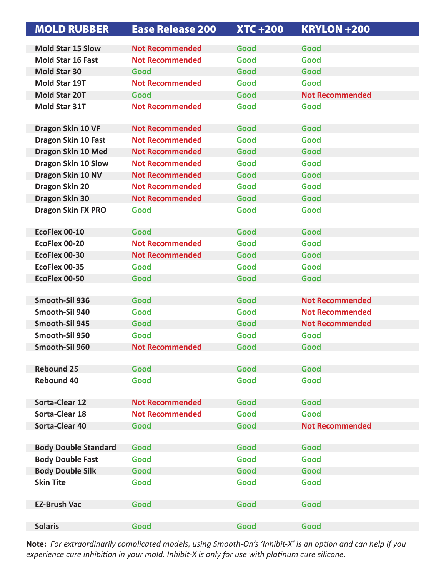| <b>MOLD RUBBER</b>          | <b>Ease Release 200</b> | <b>XTC+200</b> | <b>KRYLON +200</b>     |
|-----------------------------|-------------------------|----------------|------------------------|
| <b>Mold Star 15 Slow</b>    | <b>Not Recommended</b>  | Good           | Good                   |
| <b>Mold Star 16 Fast</b>    | <b>Not Recommended</b>  | Good           | Good                   |
| <b>Mold Star 30</b>         | Good                    | Good           | Good                   |
| <b>Mold Star 19T</b>        | <b>Not Recommended</b>  | Good           | Good                   |
| <b>Mold Star 20T</b>        | Good                    | Good           | <b>Not Recommended</b> |
| <b>Mold Star 31T</b>        | <b>Not Recommended</b>  | Good           | Good                   |
| Dragon Skin 10 VF           | <b>Not Recommended</b>  | Good           | Good                   |
| Dragon Skin 10 Fast         | <b>Not Recommended</b>  | Good           | Good                   |
| Dragon Skin 10 Med          | <b>Not Recommended</b>  | Good           | Good                   |
| Dragon Skin 10 Slow         | <b>Not Recommended</b>  | Good           | Good                   |
| Dragon Skin 10 NV           | <b>Not Recommended</b>  | Good           | Good                   |
| <b>Dragon Skin 20</b>       | <b>Not Recommended</b>  | Good           | Good                   |
| <b>Dragon Skin 30</b>       | <b>Not Recommended</b>  | Good           | Good                   |
| <b>Dragon Skin FX PRO</b>   | Good                    | Good           | Good                   |
| EcoFlex 00-10               | Good                    | Good           | Good                   |
| EcoFlex 00-20               | <b>Not Recommended</b>  | Good           | Good                   |
| EcoFlex 00-30               | <b>Not Recommended</b>  | Good           | Good                   |
| EcoFlex 00-35               | Good                    | Good           | Good                   |
| EcoFlex 00-50               | Good                    | Good           | Good                   |
|                             |                         |                |                        |
| Smooth-Sil 936              | Good                    | Good           | <b>Not Recommended</b> |
| Smooth-Sil 940              | Good                    | Good           | <b>Not Recommended</b> |
| Smooth-Sil 945              | Good                    | Good           | <b>Not Recommended</b> |
| Smooth-Sil 950              | Good                    | Good           | Good                   |
| Smooth-Sil 960              | <b>Not Recommended</b>  | Good           | Good                   |
|                             |                         |                |                        |
| <b>Rebound 25</b>           | Good                    | Good           | Good                   |
| <b>Rebound 40</b>           | Good                    | Good           | Good                   |
| <b>Sorta-Clear 12</b>       | <b>Not Recommended</b>  | Good           | Good                   |
| <b>Sorta-Clear 18</b>       | <b>Not Recommended</b>  | Good           | Good                   |
| <b>Sorta-Clear 40</b>       | Good                    | Good           | <b>Not Recommended</b> |
| <b>Body Double Standard</b> | Good                    | Good           | Good                   |
| <b>Body Double Fast</b>     | Good                    | Good           | Good                   |
| <b>Body Double Silk</b>     | Good                    | Good           | Good                   |
| <b>Skin Tite</b>            | Good                    | Good           | Good                   |
| <b>EZ-Brush Vac</b>         | Good                    | Good           | Good                   |
|                             |                         |                |                        |
| <b>Solaris</b>              | Good                    | Good           | Good                   |

**Note:** *For extraordinarily complicated models, using Smooth-On's 'Inhibit-X' is an option and can help if you experience cure inhibition in your mold. Inhibit-X is only for use with platinum cure silicone.*